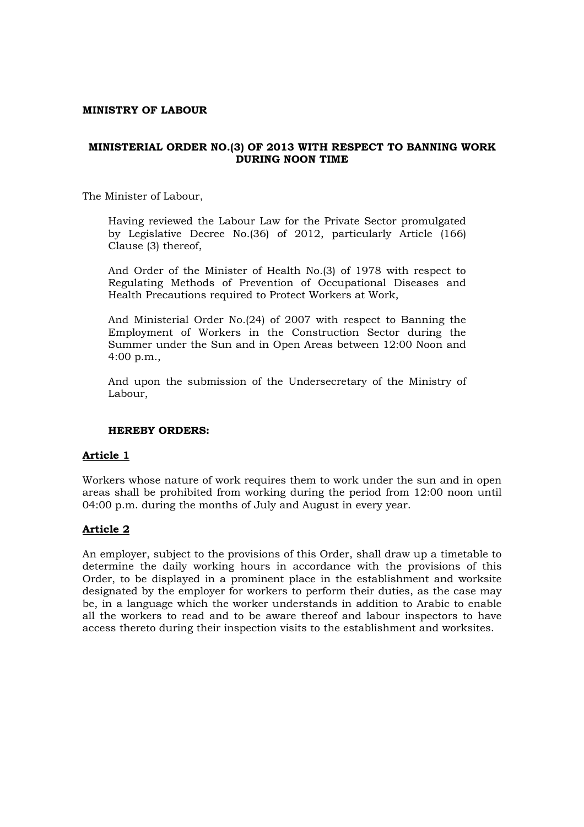#### **MINISTRY OF LABOUR**

### **MINISTERIAL ORDER NO.(3) OF 2013 WITH RESPECT TO BANNING WORK DURING NOON TIME**

The Minister of Labour,

Having reviewed the Labour Law for the Private Sector promulgated by Legislative Decree No.(36) of 2012, particularly Article (166) Clause (3) thereof,

And Order of the Minister of Health No.(3) of 1978 with respect to Regulating Methods of Prevention of Occupational Diseases and Health Precautions required to Protect Workers at Work,

And Ministerial Order No.(24) of 2007 with respect to Banning the Employment of Workers in the Construction Sector during the Summer under the Sun and in Open Areas between 12:00 Noon and 4:00 p.m.,

And upon the submission of the Undersecretary of the Ministry of Labour,

#### **HEREBY ORDERS:**

### **Article 1**

Workers whose nature of work requires them to work under the sun and in open areas shall be prohibited from working during the period from 12:00 noon until 04:00 p.m. during the months of July and August in every year.

### **Article 2**

An employer, subject to the provisions of this Order, shall draw up a timetable to determine the daily working hours in accordance with the provisions of this Order, to be displayed in a prominent place in the establishment and worksite designated by the employer for workers to perform their duties, as the case may be, in a language which the worker understands in addition to Arabic to enable all the workers to read and to be aware thereof and labour inspectors to have access thereto during their inspection visits to the establishment and worksites.